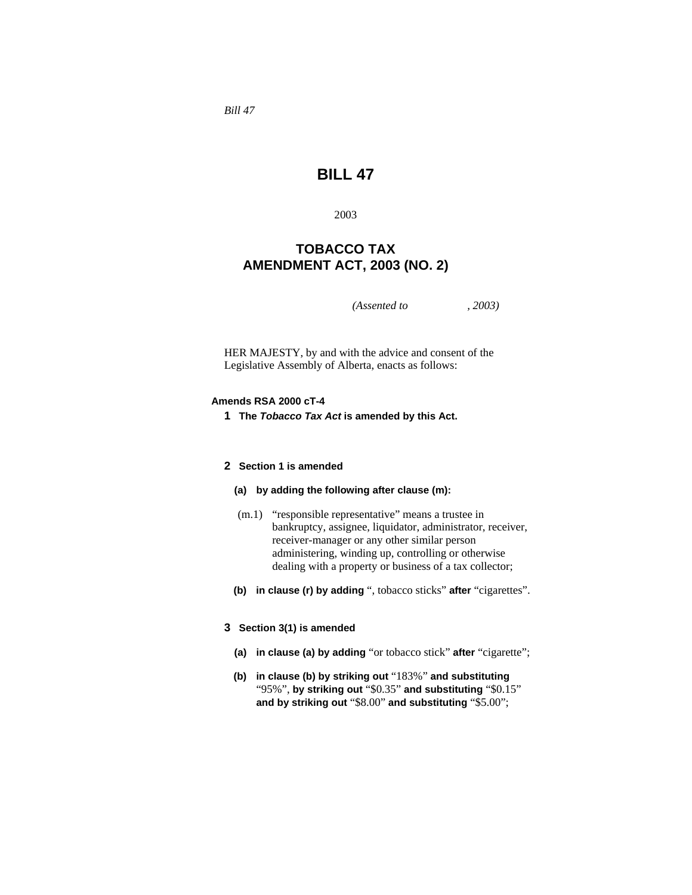*Bill 47* 

# **BILL 47**

2003

## **TOBACCO TAX AMENDMENT ACT, 2003 (NO. 2)**

*(Assented to , 2003)* 

HER MAJESTY, by and with the advice and consent of the Legislative Assembly of Alberta, enacts as follows:

## **Amends RSA 2000 cT-4**

**1 The** *Tobacco Tax Act* **is amended by this Act.** 

## **2 Section 1 is amended**

## **(a) by adding the following after clause (m):**

- (m.1) "responsible representative" means a trustee in bankruptcy, assignee, liquidator, administrator, receiver, receiver-manager or any other similar person administering, winding up, controlling or otherwise dealing with a property or business of a tax collector;
- **(b) in clause (r) by adding** ", tobacco sticks" **after** "cigarettes".

## **3 Section 3(1) is amended**

- **(a) in clause (a) by adding** "or tobacco stick" **after** "cigarette";
- **(b) in clause (b) by striking out** "183%" **and substituting**  "95%", **by striking out** "\$0.35" **and substituting** "\$0.15" **and by striking out** "\$8.00" **and substituting** "\$5.00";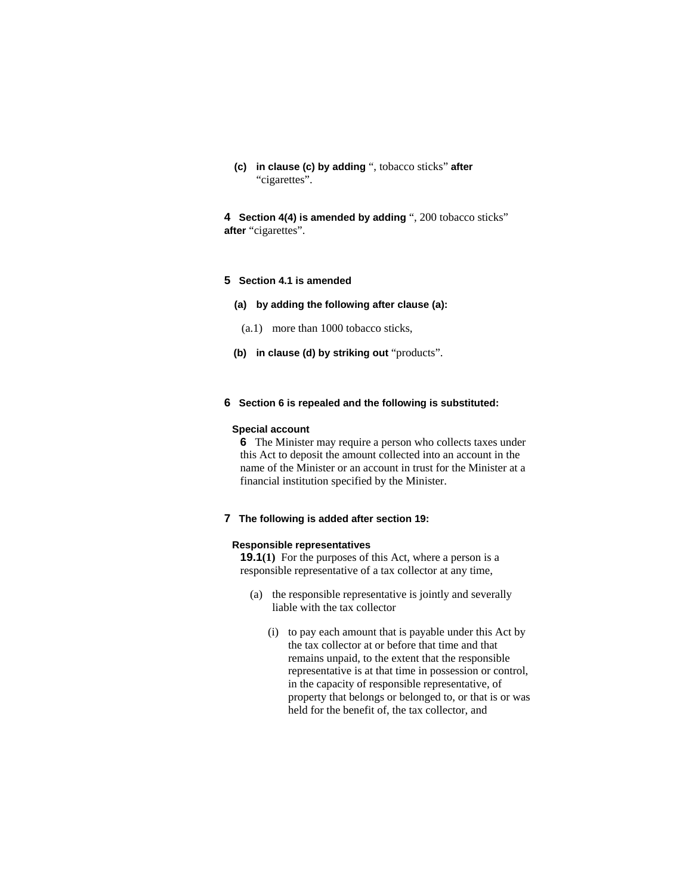**(c) in clause (c) by adding** ", tobacco sticks" **after**  "cigarettes".

**4 Section 4(4) is amended by adding** ", 200 tobacco sticks" **after** "cigarettes".

## **5 Section 4.1 is amended**

- **(a) by adding the following after clause (a):** 
	- (a.1) more than 1000 tobacco sticks,
- **(b) in clause (d) by striking out** "products".

## **6 Section 6 is repealed and the following is substituted:**

#### **Special account**

**6** The Minister may require a person who collects taxes under this Act to deposit the amount collected into an account in the name of the Minister or an account in trust for the Minister at a financial institution specified by the Minister.

#### **7 The following is added after section 19:**

#### **Responsible representatives**

**19.1**(1) For the purposes of this Act, where a person is a responsible representative of a tax collector at any time,

- (a) the responsible representative is jointly and severally liable with the tax collector
	- (i) to pay each amount that is payable under this Act by the tax collector at or before that time and that remains unpaid, to the extent that the responsible representative is at that time in possession or control, in the capacity of responsible representative, of property that belongs or belonged to, or that is or was held for the benefit of, the tax collector, and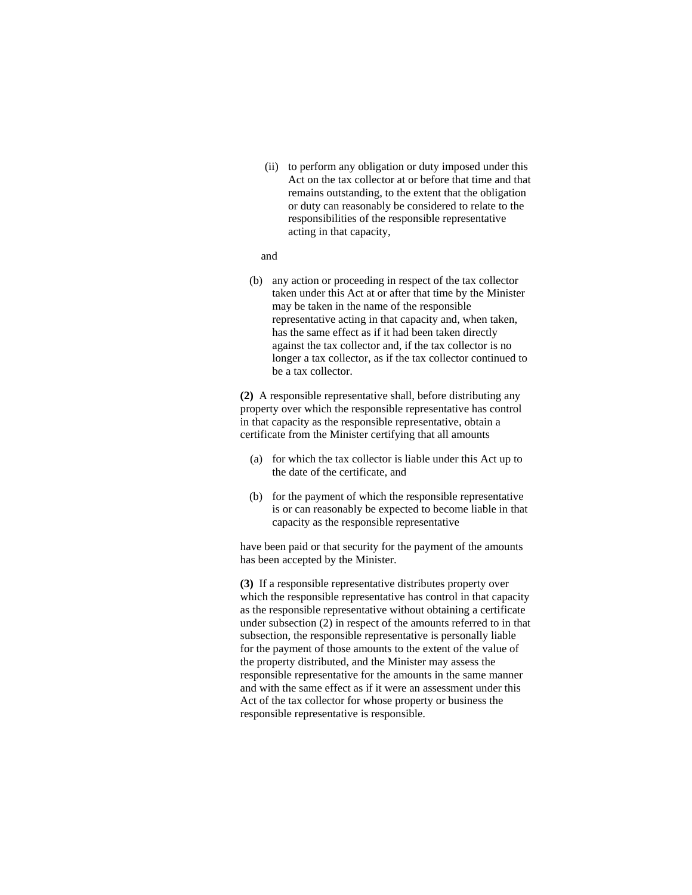(ii) to perform any obligation or duty imposed under this Act on the tax collector at or before that time and that remains outstanding, to the extent that the obligation or duty can reasonably be considered to relate to the responsibilities of the responsible representative acting in that capacity,

#### and

 (b) any action or proceeding in respect of the tax collector taken under this Act at or after that time by the Minister may be taken in the name of the responsible representative acting in that capacity and, when taken, has the same effect as if it had been taken directly against the tax collector and, if the tax collector is no longer a tax collector, as if the tax collector continued to be a tax collector.

**(2)** A responsible representative shall, before distributing any property over which the responsible representative has control in that capacity as the responsible representative, obtain a certificate from the Minister certifying that all amounts

- (a) for which the tax collector is liable under this Act up to the date of the certificate, and
- (b) for the payment of which the responsible representative is or can reasonably be expected to become liable in that capacity as the responsible representative

have been paid or that security for the payment of the amounts has been accepted by the Minister.

**(3)** If a responsible representative distributes property over which the responsible representative has control in that capacity as the responsible representative without obtaining a certificate under subsection (2) in respect of the amounts referred to in that subsection, the responsible representative is personally liable for the payment of those amounts to the extent of the value of the property distributed, and the Minister may assess the responsible representative for the amounts in the same manner and with the same effect as if it were an assessment under this Act of the tax collector for whose property or business the responsible representative is responsible.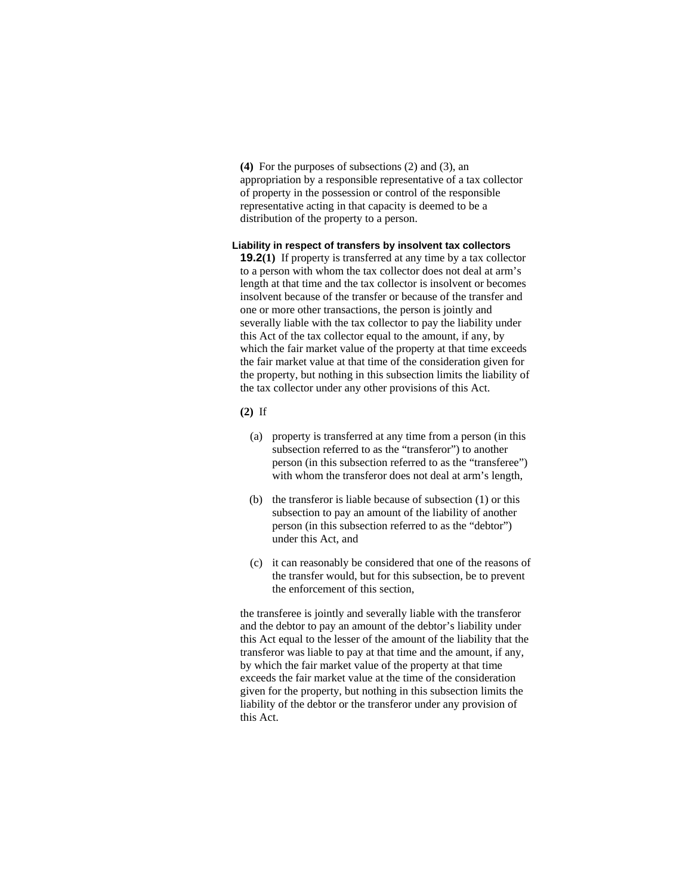**(4)** For the purposes of subsections (2) and (3), an appropriation by a responsible representative of a tax collector of property in the possession or control of the responsible representative acting in that capacity is deemed to be a distribution of the property to a person.

## **Liability in respect of transfers by insolvent tax collectors**

**19.2(1)** If property is transferred at any time by a tax collector to a person with whom the tax collector does not deal at arm's length at that time and the tax collector is insolvent or becomes insolvent because of the transfer or because of the transfer and one or more other transactions, the person is jointly and severally liable with the tax collector to pay the liability under this Act of the tax collector equal to the amount, if any, by which the fair market value of the property at that time exceeds the fair market value at that time of the consideration given for the property, but nothing in this subsection limits the liability of the tax collector under any other provisions of this Act.

## **(2)** If

- (a) property is transferred at any time from a person (in this subsection referred to as the "transferor") to another person (in this subsection referred to as the "transferee") with whom the transferor does not deal at arm's length,
- (b) the transferor is liable because of subsection (1) or this subsection to pay an amount of the liability of another person (in this subsection referred to as the "debtor") under this Act, and
- (c) it can reasonably be considered that one of the reasons of the transfer would, but for this subsection, be to prevent the enforcement of this section,

the transferee is jointly and severally liable with the transferor and the debtor to pay an amount of the debtor's liability under this Act equal to the lesser of the amount of the liability that the transferor was liable to pay at that time and the amount, if any, by which the fair market value of the property at that time exceeds the fair market value at the time of the consideration given for the property, but nothing in this subsection limits the liability of the debtor or the transferor under any provision of this Act.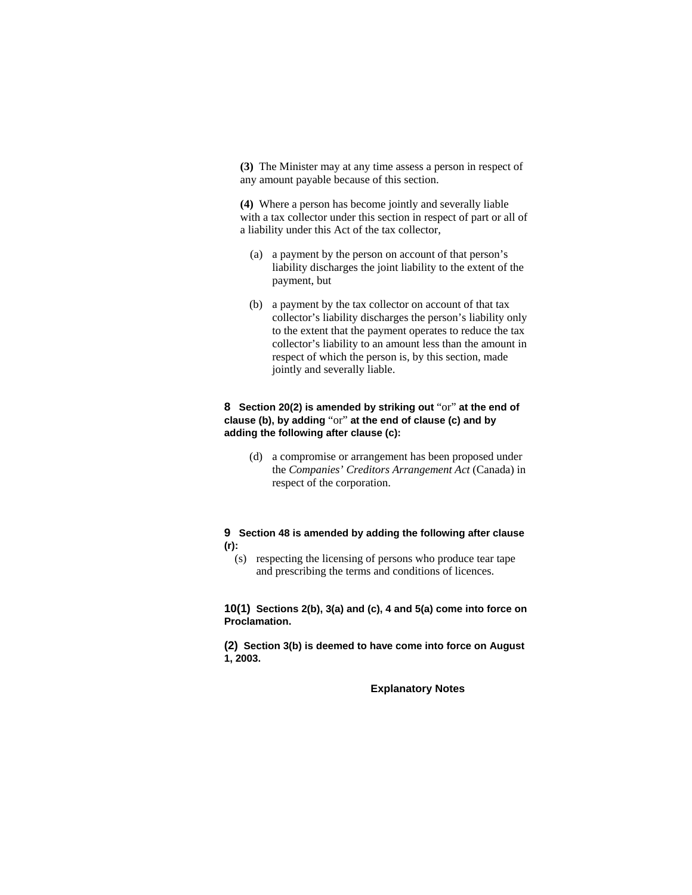**(3)** The Minister may at any time assess a person in respect of any amount payable because of this section.

**(4)** Where a person has become jointly and severally liable with a tax collector under this section in respect of part or all of a liability under this Act of the tax collector,

- (a) a payment by the person on account of that person's liability discharges the joint liability to the extent of the payment, but
- (b) a payment by the tax collector on account of that tax collector's liability discharges the person's liability only to the extent that the payment operates to reduce the tax collector's liability to an amount less than the amount in respect of which the person is, by this section, made jointly and severally liable.

## **8 Section 20(2) is amended by striking out** "or" **at the end of clause (b), by adding** "or" **at the end of clause (c) and by adding the following after clause (c):**

 (d) a compromise or arrangement has been proposed under the *Companies' Creditors Arrangement Act* (Canada) in respect of the corporation.

## **9 Section 48 is amended by adding the following after clause (r):**

 (s) respecting the licensing of persons who produce tear tape and prescribing the terms and conditions of licences.

**10(1) Sections 2(b), 3(a) and (c), 4 and 5(a) come into force on Proclamation.**

**(2) Section 3(b) is deemed to have come into force on August 1, 2003.** 

**Explanatory Notes**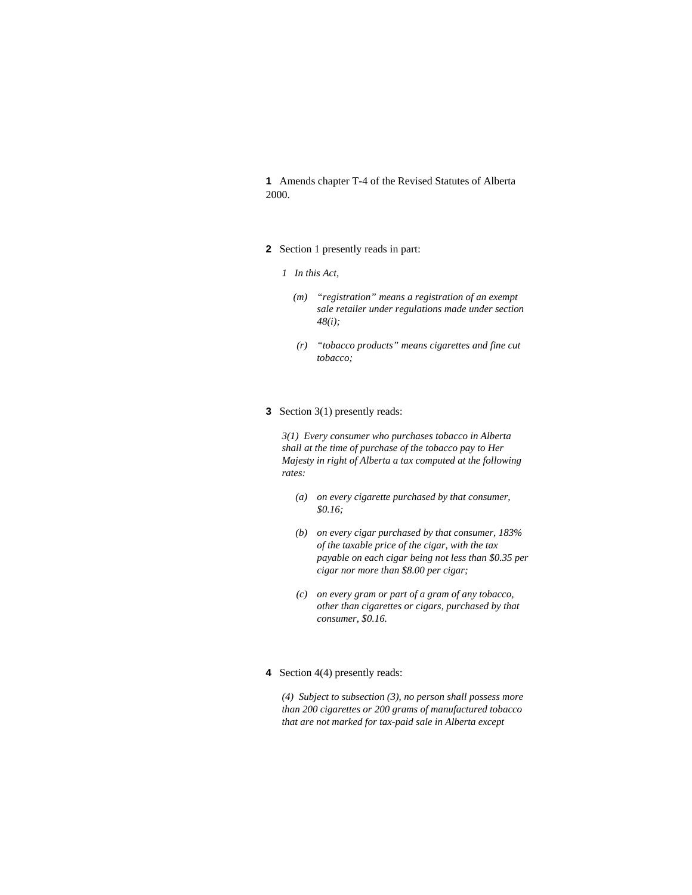**1** Amends chapter T-4 of the Revised Statutes of Alberta 2000.

- **2** Section 1 presently reads in part:
	- *1 In this Act,* 
		- *(m) "registration" means a registration of an exempt sale retailer under regulations made under section 48(i);*
		- *(r) "tobacco products" means cigarettes and fine cut tobacco;*
- **3** Section 3(1) presently reads:

*3(1) Every consumer who purchases tobacco in Alberta shall at the time of purchase of the tobacco pay to Her Majesty in right of Alberta a tax computed at the following rates:* 

- *(a) on every cigarette purchased by that consumer, \$0.16;*
- *(b) on every cigar purchased by that consumer, 183% of the taxable price of the cigar, with the tax payable on each cigar being not less than \$0.35 per cigar nor more than \$8.00 per cigar;*
- *(c) on every gram or part of a gram of any tobacco, other than cigarettes or cigars, purchased by that consumer, \$0.16.*
- **4** Section 4(4) presently reads:

*(4) Subject to subsection (3), no person shall possess more than 200 cigarettes or 200 grams of manufactured tobacco that are not marked for tax-paid sale in Alberta except*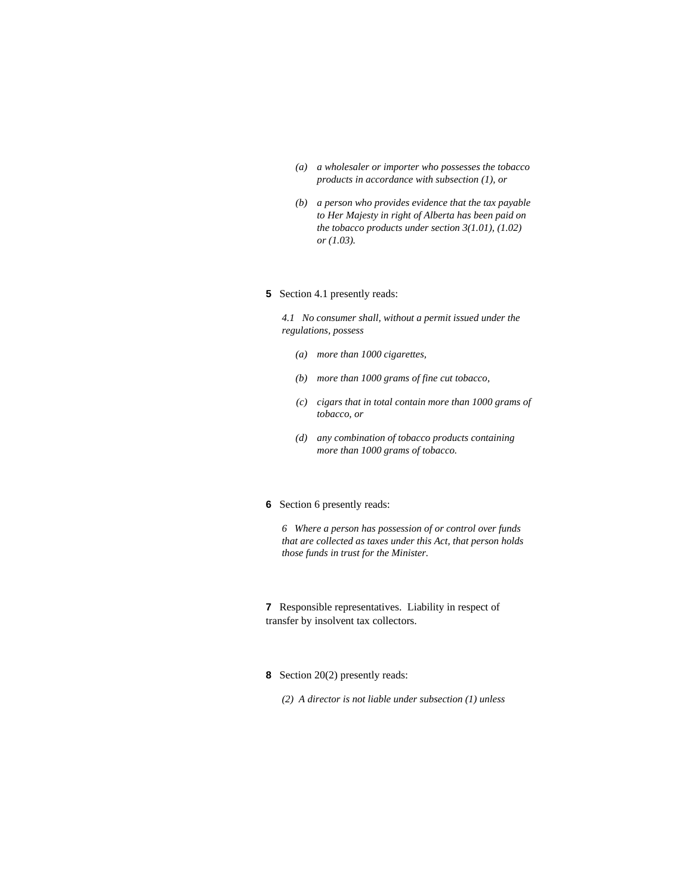- *(a) a wholesaler or importer who possesses the tobacco products in accordance with subsection (1), or*
- *(b) a person who provides evidence that the tax payable to Her Majesty in right of Alberta has been paid on the tobacco products under section 3(1.01), (1.02) or (1.03).*

#### **5** Section 4.1 presently reads:

*4.1 No consumer shall, without a permit issued under the regulations, possess* 

- *(a) more than 1000 cigarettes,*
- *(b) more than 1000 grams of fine cut tobacco,*
- *(c) cigars that in total contain more than 1000 grams of tobacco, or*
- *(d) any combination of tobacco products containing more than 1000 grams of tobacco.*
- **6** Section 6 presently reads:

*6 Where a person has possession of or control over funds that are collected as taxes under this Act, that person holds those funds in trust for the Minister.* 

**7** Responsible representatives. Liability in respect of transfer by insolvent tax collectors.

- **8** Section 20(2) presently reads:
	- *(2) A director is not liable under subsection (1) unless*